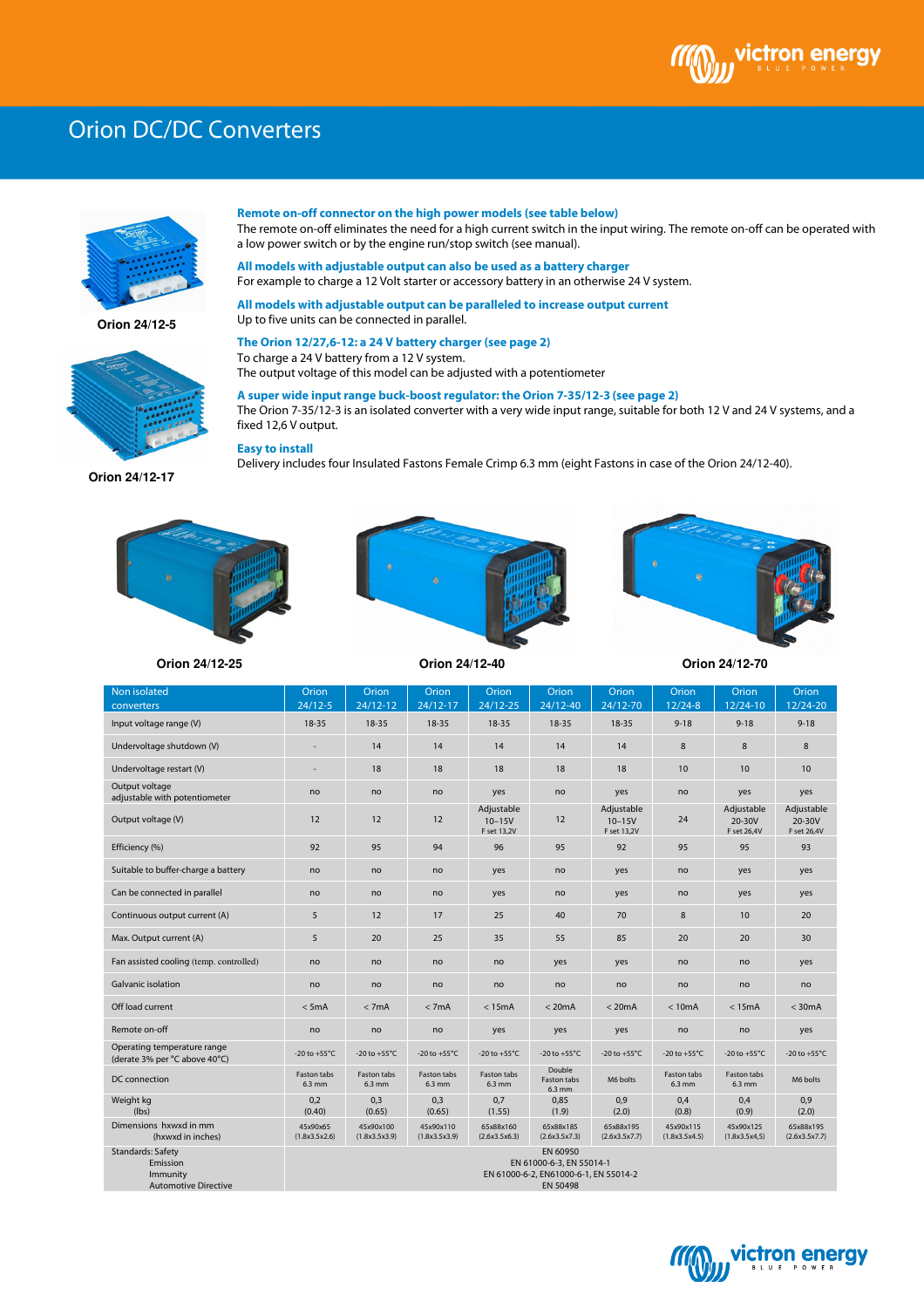## Orion DC/DC Converters



**Orion 24/12-5** 



 The remote on-off eliminates the need for a high current switch in the input wiring. The remote on-off can be operated with **Remote on-off connector on the high power models (see table below)** a low power switch or by the engine run/stop switch (see manual).

**All models with adjustable output can also be used as a battery charger** For example to charge a 12 Volt starter or accessory battery in an otherwise 24 V system.

**All models with adjustable output can be paralleled to increase output current** Up to five units can be connected in parallel.

## **The Orion 12/27,6-12: a 24 V battery charger (see page 2)**

To charge a 24 V battery from a 12 V system. The output voltage of this model can be adjusted with a potentiometer

**A super wide input range buck-boost regulator: the Orion 7-35/12-3 (see page 2)** The Orion 7-35/12-3 is an isolated converter with a very wide input range, suitable for both 12 V and 24 V systems, and a fixed 12,6 V output.

**Easy to install**

Delivery includes four Insulated Fastons Female Crimp 6.3 mm (eight Fastons in case of the Orion 24/12-40).









**Orion 24/12-25 Orion 24/12-40 Orion 24/12-70**

| Non isolated<br>converters                                                      | Orion<br>$24/12 - 5$                                                                      | Orion<br>24/12-12          | Orion<br>$24/12 - 17$      | Orion<br>$24/12 - 25$                   | Orion<br>24/12-40               | Orion<br>24/12-70                       | Orion<br>$12/24-8$         | Orion<br>12/24-10                   | Orion<br>12/24-20                   |
|---------------------------------------------------------------------------------|-------------------------------------------------------------------------------------------|----------------------------|----------------------------|-----------------------------------------|---------------------------------|-----------------------------------------|----------------------------|-------------------------------------|-------------------------------------|
| Input voltage range (V)                                                         | 18-35                                                                                     | 18-35                      | 18-35                      | 18-35                                   | 18-35                           | 18-35                                   | $9 - 18$                   | $9 - 18$                            | $9 - 18$                            |
| Undervoltage shutdown (V)                                                       |                                                                                           | 14                         | 14                         | 14                                      | 14                              | 14                                      | 8                          | 8                                   | 8                                   |
| Undervoltage restart (V)                                                        |                                                                                           | 18                         | 18                         | 18                                      | 18                              | 18                                      | 10                         | 10                                  | 10                                  |
| Output voltage<br>adjustable with potentiometer                                 | no                                                                                        | no                         | no                         | yes                                     | no                              | yes                                     | no                         | yes                                 | yes                                 |
| Output voltage (V)                                                              | 12                                                                                        | 12                         | 12                         | Adjustable<br>$10 - 15V$<br>F set 13,2V | 12                              | Adjustable<br>$10 - 15V$<br>F set 13,2V | 24                         | Adjustable<br>20-30V<br>F set 26,4V | Adjustable<br>20-30V<br>F set 26,4V |
| Efficiency (%)                                                                  | 92                                                                                        | 95                         | 94                         | 96                                      | 95                              | 92                                      | 95                         | 95                                  | 93                                  |
| Suitable to buffer-charge a battery                                             | no                                                                                        | no                         | no                         | yes                                     | no                              | yes                                     | no                         | yes                                 | yes                                 |
| Can be connected in parallel                                                    | no                                                                                        | no                         | no                         | yes                                     | no                              | yes                                     | no                         | yes                                 | yes                                 |
| Continuous output current (A)                                                   | 5                                                                                         | 12                         | 17                         | 25                                      | 40                              | 70                                      | 8                          | 10                                  | 20                                  |
| Max. Output current (A)                                                         | 5                                                                                         | 20                         | 25                         | 35                                      | 55                              | 85                                      | 20                         | 20                                  | 30                                  |
| Fan assisted cooling (temp. controlled)                                         | no                                                                                        | no                         | no                         | no                                      | yes                             | yes                                     | no                         | no                                  | yes                                 |
| Galvanic isolation                                                              | no                                                                                        | no                         | no                         | no                                      | no                              | no                                      | no                         | no                                  | no                                  |
| Off load current                                                                | $<$ 5mA                                                                                   | < 7mA                      | < 7mA                      | < 15mA                                  | < 20mA                          | < 20mA                                  | < 10mA                     | < 15mA                              | $<$ 30 $mA$                         |
| Remote on-off                                                                   | no                                                                                        | no                         | no                         | yes                                     | yes                             | yes                                     | no                         | no                                  | yes                                 |
| Operating temperature range<br>(derate 3% per °C above 40°C)                    | -20 to +55 $^{\circ}$ C                                                                   | -20 to +55 $^{\circ}$ C    | -20 to +55 $^{\circ}$ C    | -20 to +55 $^{\circ}$ C                 | -20 to +55 $^{\circ}$ C         | -20 to +55 $^{\circ}$ C                 | -20 to +55 $^{\circ}$ C    | -20 to +55 $^{\circ}$ C             | -20 to $+55^{\circ}$ C              |
| DC connection                                                                   | Faston tabs<br>6.3 mm                                                                     | Faston tabs<br>$6.3$ mm    | Faston tabs<br>$6.3$ mm    | Faston tabs<br>$6.3$ mm                 | Double<br>Faston tabs<br>6.3 mm | M6 bolts                                | Faston tabs<br>$6.3$ mm    | Faston tabs<br>$6.3$ mm             | M6 bolts                            |
| Weight kg<br>(lbs)                                                              | 0,2<br>(0.40)                                                                             | 0,3<br>(0.65)              | 0,3<br>(0.65)              | 0,7<br>(1.55)                           | 0,85<br>(1.9)                   | 0,9<br>(2.0)                            | 0,4<br>(0.8)               | 0,4<br>(0.9)                        | 0,9<br>(2.0)                        |
| Dimensions hxwxd in mm<br>(hxwxd in inches)                                     | 45x90x65<br>(1.8x3.5x2.6)                                                                 | 45x90x100<br>(1.8x3.5x3.9) | 45x90x110<br>(1.8x3.5x3.9) | 65x88x160<br>(2.6x3.5x6.3)              | 65x88x185<br>(2.6x3.5x7.3)      | 65x88x195<br>(2.6x3.5x7.7)              | 45x90x115<br>(1.8x3.5x4.5) | 45x90x125<br>(1.8x3.5x4,5)          | 65x88x195<br>(2.6x3.5x7.7)          |
| <b>Standards: Safety</b><br>Emission<br>Immunity<br><b>Automotive Directive</b> | EN 60950<br>EN 61000-6-3, EN 55014-1<br>EN 61000-6-2. EN61000-6-1. EN 55014-2<br>EN 50498 |                            |                            |                                         |                                 |                                         |                            |                                     |                                     |